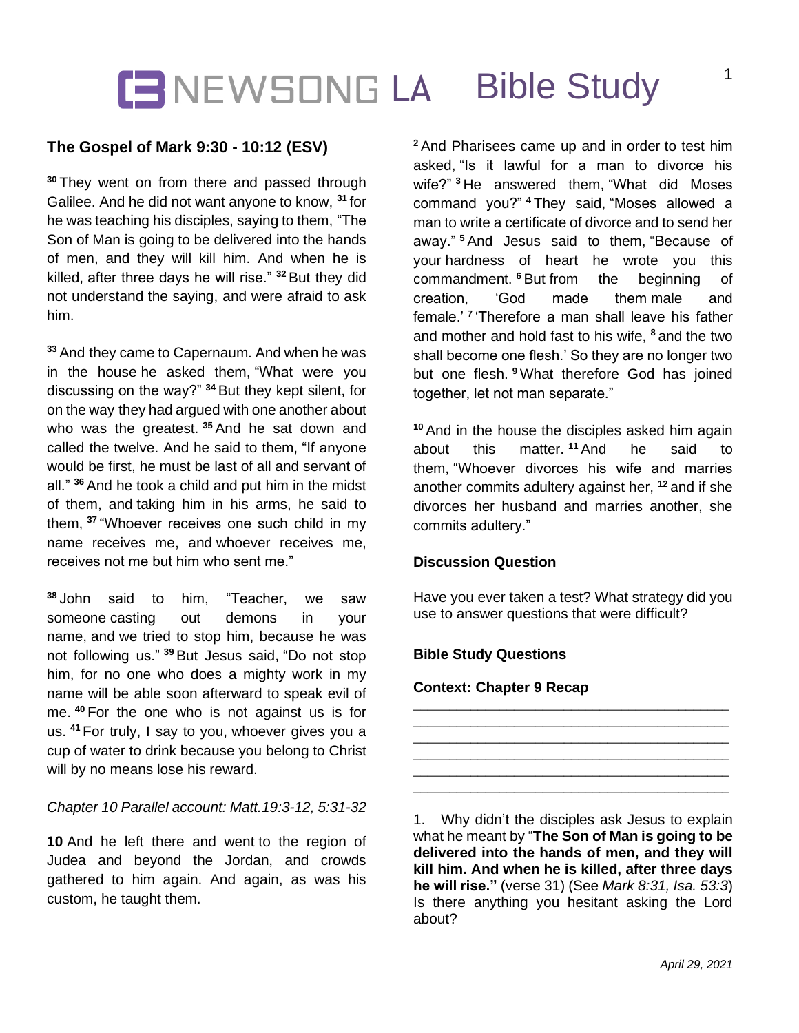## **IENEWSONG LA Bible Study**

### **The Gospel of Mark 9:30 - 10:12 (ESV)**

**<sup>30</sup>** They went on from there and passed through Galilee. And he did not want anyone to know, **<sup>31</sup>** for he was teaching his disciples, saying to them, "The Son of Man is going to be delivered into the hands of men, and they will kill him. And when he is killed, after three days he will rise." **<sup>32</sup>** But they did not understand the saying, and were afraid to ask him.

**<sup>33</sup>** And they came to Capernaum. And when he was in the house he asked them, "What were you discussing on the way?" **<sup>34</sup>** But they kept silent, for on the way they had argued with one another about who was the greatest. **<sup>35</sup>** And he sat down and called the twelve. And he said to them, "If anyone would be first, he must be last of all and servant of all." **<sup>36</sup>** And he took a child and put him in the midst of them, and taking him in his arms, he said to them, **<sup>37</sup>** "Whoever receives one such child in my name receives me, and whoever receives me, receives not me but him who sent me."

**<sup>38</sup>** John said to him, "Teacher, we saw someone casting out demons in your name, and we tried to stop him, because he was not following us." **<sup>39</sup>** But Jesus said, "Do not stop him, for no one who does a mighty work in my name will be able soon afterward to speak evil of me. **<sup>40</sup>** For the one who is not against us is for us. **<sup>41</sup>** For truly, I say to you, whoever gives you a cup of water to drink because you belong to Christ will by no means lose his reward.

#### *Chapter 10 Parallel account: Matt.19:3-12, 5:31-32*

**10** And he left there and went to the region of Judea and beyond the Jordan, and crowds gathered to him again. And again, as was his custom, he taught them.

**<sup>2</sup>** And Pharisees came up and in order to test him asked, "Is it lawful for a man to divorce his wife?" **<sup>3</sup>** He answered them, "What did Moses command you?" **<sup>4</sup>** They said, "Moses allowed a man to write a certificate of divorce and to send her away." **<sup>5</sup>** And Jesus said to them, "Because of your hardness of heart he wrote you this commandment. **<sup>6</sup>** But from the beginning of creation, 'God made them male and female.' **<sup>7</sup>** 'Therefore a man shall leave his father and mother and hold fast to his wife, **<sup>8</sup>** and the two shall become one flesh.' So they are no longer two but one flesh. **<sup>9</sup>** What therefore God has joined together, let not man separate."

**<sup>10</sup>** And in the house the disciples asked him again about this matter. **<sup>11</sup>** And he said to them, "Whoever divorces his wife and marries another commits adultery against her, **<sup>12</sup>** and if she divorces her husband and marries another, she commits adultery."

#### **Discussion Question**

Have you ever taken a test? What strategy did you use to answer questions that were difficult?

\_\_\_\_\_\_\_\_\_\_\_\_\_\_\_\_\_\_\_\_\_\_\_\_\_\_\_\_\_\_\_\_\_\_\_\_\_\_\_\_\_\_\_\_ \_\_\_\_\_\_\_\_\_\_\_\_\_\_\_\_\_\_\_\_\_\_\_\_\_\_\_\_\_\_\_\_\_\_\_\_\_\_\_\_\_\_\_\_ \_\_\_\_\_\_\_\_\_\_\_\_\_\_\_\_\_\_\_\_\_\_\_\_\_\_\_\_\_\_\_\_\_\_\_\_\_\_\_\_\_\_\_\_ \_\_\_\_\_\_\_\_\_\_\_\_\_\_\_\_\_\_\_\_\_\_\_\_\_\_\_\_\_\_\_\_\_\_\_\_\_\_\_\_\_\_\_\_ \_\_\_\_\_\_\_\_\_\_\_\_\_\_\_\_\_\_\_\_\_\_\_\_\_\_\_\_\_\_\_\_\_\_\_\_\_\_\_\_\_\_\_\_ \_\_\_\_\_\_\_\_\_\_\_\_\_\_\_\_\_\_\_\_\_\_\_\_\_\_\_\_\_\_\_\_\_\_\_\_\_\_\_\_\_\_\_\_

#### **Bible Study Questions**

#### **Context: Chapter 9 Recap**

1. Why didn't the disciples ask Jesus to explain what he meant by "**The Son of Man is going to be delivered into the hands of men, and they will kill him. And when he is killed, after three days he will rise."** (verse 31) (See *Mark 8:31, Isa. 53:3*) Is there anything you hesitant asking the Lord about?